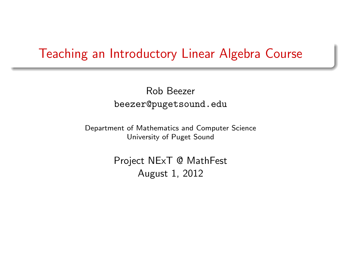#### Teaching an Introductory Linear Algebra Course

Rob Beezer beezer@pugetsound.edu

Department of Mathematics and Computer Science University of Puget Sound

> <span id="page-0-0"></span>Project NExT @ MathFest August 1, 2012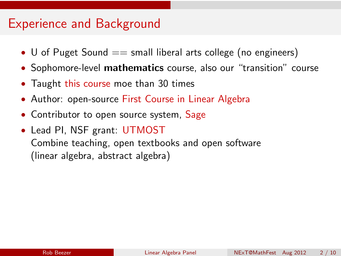#### Experience and Background

- U of Puget Sound  $==$  small liberal arts college (no engineers)
- Sophomore-level **mathematics** course, also our "transition" course
- Taught [this course](http://buzzard.ups.edu/courses.html) moe than 30 times
- Author: open-source [First Course in Linear Algebra](http://linear.pugetsound.edu)
- Contributor to open source system, [Sage](http://sagemath.org)
- Lead PI, NSF grant: [UTMOST](http://utmost.aimath.org/) Combine teaching, open textbooks and open software (linear algebra, abstract algebra)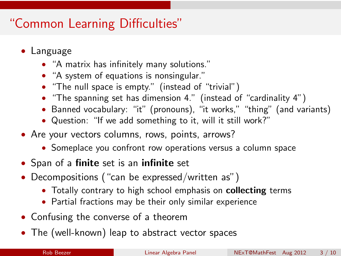# "Common Learning Difficulties"

- Language
	- "A matrix has infinitely many solutions."
	- "A system of equations is nonsingular."
	- "The null space is empty." (instead of "trivial")
	- "The spanning set has dimension 4." (instead of "cardinality 4")
	- Banned vocabulary: "it" (pronouns), "it works," "thing" (and variants)
	- Question: "If we add something to it, will it still work?"
- Are your vectors columns, rows, points, arrows?
	- Someplace you confront row operations versus a column space
- Span of a finite set is an infinite set
- Decompositions ("can be expressed/written as")
	- Totally contrary to high school emphasis on collecting terms
	- Partial fractions may be their only similar experience
- Confusing the converse of a theorem
- The (well-known) leap to abstract vector spaces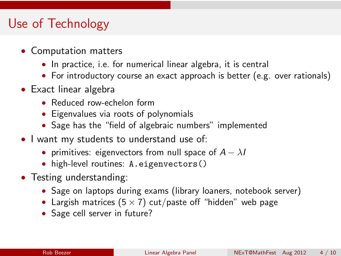## Use of Technology

- Computation matters
	- In practice, i.e. for numerical linear algebra, it is central
	- For introductory course an exact approach is better (e.g. over rationals)
- Exact linear algebra
	- Reduced row-echelon form
	- Eigenvalues via roots of polynomials
	- Sage has the "field of algebraic numbers" implemented
- I want my students to understand use of:
	- primitives: eigenvectors from null space of  $A \lambda I$
	- high-level routines: A.eigenvectors()
- Testing understanding:
	- Sage on laptops during exams (library loaners, notebook server)
	- Largish matrices ( $5 \times 7$ ) cut/paste off "hidden" web page
	- Sage cell server in future?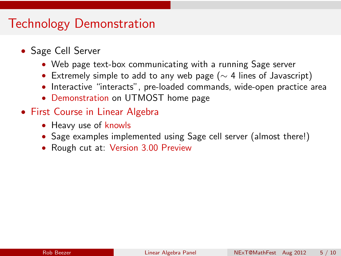## Technology Demonstration

- Sage Cell Server
	- Web page text-box communicating with a running Sage server
	- Extremely simple to add to any web page ( $\sim$  4 lines of Javascript)
	- Interactive "interacts", pre-loaded commands, wide-open practice area
	- [Demonstration](http://utmost.aimath.org/) on UTMOST home page
- [First Course in Linear Algebra](http://linear.pugetsound.edu)
	- Heavy use of [knowls](http://www.aimath.org/knowlepedia/)
	- Sage examples implemented using Sage cell server (almost there!)
	- Rough cut at: [Version 3.00 Preview](http://linear.ups.edu/version3/html/fcla.html)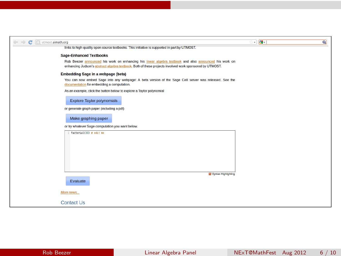| U utmost.aimath.org                                                                                                                                                                                              | ं सीन | $\alpha$ |
|------------------------------------------------------------------------------------------------------------------------------------------------------------------------------------------------------------------|-------|----------|
| links to high-quality open-source textbooks. This initiative is supported in part by UTMOST.                                                                                                                     |       |          |
| <b>Sage-Enhanced Textbooks</b>                                                                                                                                                                                   |       |          |
| Rob Beezer announced his work on enhancing his linear algebra textbook and also announced his work on<br>enhancing Judson's abstract algebra textbook. Both of these projects involved work sponsored by UTMOST. |       |          |
| Embedding Sage in a webpage (beta)                                                                                                                                                                               |       |          |
| You can now embed Sage into any webpage! A beta version of the Sage Cell server was released. See the<br>documentation for embedding a computation.                                                              |       |          |
| As an example, click the button below to explore a Taylor polynomial                                                                                                                                             |       |          |
| <b>Explore Taylor polynomials</b>                                                                                                                                                                                |       |          |
| or generate graph paper (including a pdf)                                                                                                                                                                        |       |          |
| Make graphing paper                                                                                                                                                                                              |       |          |
| or try whatever Sage computation you want below.                                                                                                                                                                 |       |          |
| $1$ factorial(30) $e$ edit me                                                                                                                                                                                    |       |          |
|                                                                                                                                                                                                                  |       |          |
|                                                                                                                                                                                                                  |       |          |
|                                                                                                                                                                                                                  |       |          |
|                                                                                                                                                                                                                  |       |          |
|                                                                                                                                                                                                                  |       |          |
| Syntax Highlighting                                                                                                                                                                                              |       |          |
| Evaluate                                                                                                                                                                                                         |       |          |
| More news                                                                                                                                                                                                        |       |          |
| <b>Contact Us</b>                                                                                                                                                                                                |       |          |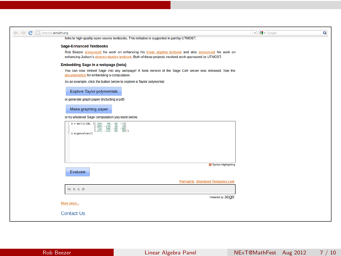| $\mathbf{C}$<br>Utmost.aimath.org                                                                                                                                                                                                   | v M Google | ۹ |
|-------------------------------------------------------------------------------------------------------------------------------------------------------------------------------------------------------------------------------------|------------|---|
| links to high-quality open-source textbooks. This initiative is supported in part by UTMOST.                                                                                                                                        |            |   |
| <b>Sage-Enhanced Textbooks</b>                                                                                                                                                                                                      |            |   |
| Rob Beezer announced his work on enhancing his linear algebra textbook and also announced his work on<br>enhancing Judson's abstract algebra textbook. Both of these projects involved work sponsored by UTMOST.                    |            |   |
| <b>Embedding Sage in a webpage (beta)</b>                                                                                                                                                                                           |            |   |
| You can now embed Sage into any webpage! A beta version of the Sage Cell server was released. See the<br>documentation for embedding a computation.                                                                                 |            |   |
| As an example, click the button below to explore a Taylor polynomial                                                                                                                                                                |            |   |
| <b>Explore Taylor polynomials</b>                                                                                                                                                                                                   |            |   |
| or generate graph paper (including a pdf)                                                                                                                                                                                           |            |   |
| Make graphing paper                                                                                                                                                                                                                 |            |   |
| or try whatever Sage computation you want below.                                                                                                                                                                                    |            |   |
| $\mathtt{A} = \mathtt{matrix}(\mathtt{QQ},\begin{bmatrix} 204, & 98, & -26, & -10\\ -200, & -134, & 36, & 14\\ -216, & 348, & -90, & -36\\ 716, & 348, & -90, & -36\\ -472, & -232, & 60, & 28 \end{bmatrix})$<br>5 A.eigenvalues() |            |   |
| Syntax Highlighting                                                                                                                                                                                                                 |            |   |
| Evaluate                                                                                                                                                                                                                            |            |   |
| Permalink, Shortened Temporary Link                                                                                                                                                                                                 |            |   |
| [4, 0, 2, 2]                                                                                                                                                                                                                        |            |   |
| Powered by SDQE                                                                                                                                                                                                                     |            |   |
| More news                                                                                                                                                                                                                           |            |   |
| <b>Contact Us</b>                                                                                                                                                                                                                   |            |   |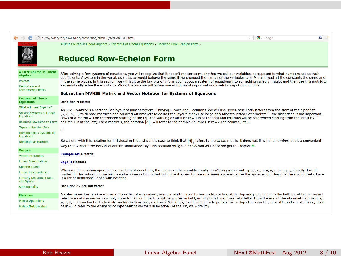|                                                                                                             | ☆ → <mark>상</mark> → Google<br>$Q \cap$<br>file:///home/rob/books/fcla/conversion/htmlout/section-RREF.html                                                                                                                                                                                                                                                                                                                                                                                                                                                                                                                                                                                                                                                            |
|-------------------------------------------------------------------------------------------------------------|------------------------------------------------------------------------------------------------------------------------------------------------------------------------------------------------------------------------------------------------------------------------------------------------------------------------------------------------------------------------------------------------------------------------------------------------------------------------------------------------------------------------------------------------------------------------------------------------------------------------------------------------------------------------------------------------------------------------------------------------------------------------|
|                                                                                                             | A First Course in Linear Algebra » Systems of Linear Equations » Reduced Row-Echelon Form »<br><b>Reduced Row-Echelon Form</b>                                                                                                                                                                                                                                                                                                                                                                                                                                                                                                                                                                                                                                         |
| <b>A First Course in Linear</b><br><b>Algebra</b><br>Preface<br>Dedication and<br><b>Acknowledgements</b>   | After solving a few systems of equations, you will recognize that it doesn't matter so much what we call our variables, as opposed to what numbers act as their<br>coefficients. A system in the variables x <sub>1</sub> , x <sub>2</sub> , x <sub>3</sub> would behave the same if we changed the names of the variables to a, b, c and kept all the constants the same and<br>in the same places. In this section, we will isolate the key bits of information about a system of equations into something called a matrix, and then use this matrix to<br>systematically solve the equations. Along the way we will obtain one of our most important and useful computational tools.<br><b>Subsection MVNSE Matrix and Vector Notation for Systems of Equations</b> |
| <b>Systems of Linear</b><br><b>Equations</b>                                                                | <b>Definition M Matrix</b>                                                                                                                                                                                                                                                                                                                                                                                                                                                                                                                                                                                                                                                                                                                                             |
| What is Linear Algebra?<br>Solving Systems of Linear<br><b>Equations</b><br><b>Reduced Row-Echelon Form</b> | An $m \times n$ matrix is a rectangular layout of numbers from C having $m$ rows and $n$ columns. We will use upper-case Latin letters from the start of the alphabet<br>(A, B, C,) to denote matrices and squared-off brackets to delimit the layout. Many use large parentheses instead of brackets - the distinction is not important.<br>Rows of a matrix will be referenced starting at the top and working down (i.e.) row 1 is at the top) and columns will be referenced starting from the left (i.e.)<br>column 1 is at the left). For a matrix A, the notation $[A]_u$ will refer to the complex number in row i and column j of A.                                                                                                                          |
| <b>Types of Solution Sets</b><br><b>Homogeneous Systems of</b><br><b>Equations</b>                          | $\Box$                                                                                                                                                                                                                                                                                                                                                                                                                                                                                                                                                                                                                                                                                                                                                                 |
| <b>Nonsingular Matrices</b>                                                                                 | Be careful with this notation for individual entries, since it is easy to think that $[A]_n$ refers to the whole matrix. It does not. It is just a number, but is a convenient<br>way to talk about the individual entries simultaneously. This notation will get a heavy workout once we get to Chapter M.                                                                                                                                                                                                                                                                                                                                                                                                                                                            |
| <b>Vectors</b>                                                                                              | <b>Example AM A matrix</b>                                                                                                                                                                                                                                                                                                                                                                                                                                                                                                                                                                                                                                                                                                                                             |
| <b>Vector Operations</b><br><b>Linear Combinations</b>                                                      | <b>Sage M Matrices</b>                                                                                                                                                                                                                                                                                                                                                                                                                                                                                                                                                                                                                                                                                                                                                 |
| <b>Spanning Sets</b><br><b>Linear Independence</b><br><b>Linearly Dependent Sets</b><br>and Spans           | When we do equation operations on system of equations, the names of the variables really aren't very important. $x_1$ , $x_2$ , $x_3$ , or $a$ , $b$ , $c$ , or $x$ , $y$ , $z$ , it really doesn't<br>matter. In this subsection we will describe some notation that will make it easier to describe linear systems, solve the systems and describe the solution sets. Here<br>is a list of definitions, laden with notation.                                                                                                                                                                                                                                                                                                                                         |
| Orthogonality                                                                                               | <b>Definition CV Column Vector</b>                                                                                                                                                                                                                                                                                                                                                                                                                                                                                                                                                                                                                                                                                                                                     |
| <b>Matrices</b><br><b>Matrix Operations</b><br><b>Matrix Multiplication</b>                                 | A column vector of size m is an ordered list of m numbers, which is written in order vertically, starting at the top and proceeding to the bottom. At times, we will<br>refer to a column vector as simply a vector. Column vectors will be written in bold, usually with lower case Latin letter from the end of the alphabet such as u. v.<br>w, x, y, z. Some books like to write vectors with arrows, such as ii. Writing by hand, some like to put arrows on top of the symbol, or a tilde underneath the symbol,<br>as in $u$ . To refer to the entry or component of vector v in location i of the list, we write $[v]$ .                                                                                                                                       |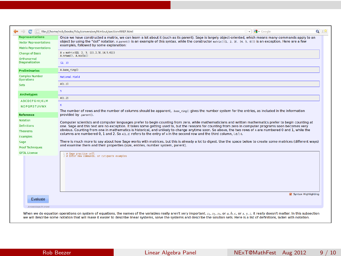| œ                                                                                        | File:///home/rob/books/fcla/conversion/htmlout/section-RREF.html                                                                                                                                                                                                                                                                                                             | $\overline{\bullet}$ $\overline{\bullet}$ $\overline{\bullet}$ Google | $Q = 9$                                                                                                                                                                                                                        |
|------------------------------------------------------------------------------------------|------------------------------------------------------------------------------------------------------------------------------------------------------------------------------------------------------------------------------------------------------------------------------------------------------------------------------------------------------------------------------|-----------------------------------------------------------------------|--------------------------------------------------------------------------------------------------------------------------------------------------------------------------------------------------------------------------------|
| <b>Representations</b><br><b>Vector Representations</b><br><b>Matrix Representations</b> | Once we have constructed a matrix, we can learn a lot about it (such as its parent). Sage is largely object-oriented, which means many commands apply to an<br>object by using the "dot" notation. A.parent () is an example of this syntax, while the constructor natrix([[1, 2, 3], [4, 5, 6]]) is an exception. Here are a few<br>examples. followed by some explanation: |                                                                       |                                                                                                                                                                                                                                |
| <b>Change of Basis</b>                                                                   | $A = matrix(00, 2, 3, \{(1, 2, 3), (4, 5, 6)\})$<br>A.nrows (), A.ncols ()                                                                                                                                                                                                                                                                                                   |                                                                       |                                                                                                                                                                                                                                |
| Orthonormal<br><b>Diagonalization</b>                                                    | (2, 3)                                                                                                                                                                                                                                                                                                                                                                       |                                                                       |                                                                                                                                                                                                                                |
| <b>Preliminaries</b>                                                                     | A.base ring()                                                                                                                                                                                                                                                                                                                                                                |                                                                       |                                                                                                                                                                                                                                |
| <b>Complex Number</b><br><b>Operations</b>                                               | <b>Rational Field</b>                                                                                                                                                                                                                                                                                                                                                        |                                                                       |                                                                                                                                                                                                                                |
| <b>Sets</b>                                                                              | A[1,1]                                                                                                                                                                                                                                                                                                                                                                       |                                                                       |                                                                                                                                                                                                                                |
| <b>Archetypes</b>                                                                        | s                                                                                                                                                                                                                                                                                                                                                                            |                                                                       |                                                                                                                                                                                                                                |
|                                                                                          | A[1,2]                                                                                                                                                                                                                                                                                                                                                                       |                                                                       |                                                                                                                                                                                                                                |
| <b>ABCDEFGHIJKLM</b><br><b>NOPORSTUVWX</b>                                               | ĸ                                                                                                                                                                                                                                                                                                                                                                            |                                                                       |                                                                                                                                                                                                                                |
| <b>Reference</b>                                                                         | The number of rows and the number of columns should be apparent, base ring() gives the number system for the entries, as included in the information<br>provided by .parent().                                                                                                                                                                                               |                                                                       |                                                                                                                                                                                                                                |
| <b>Notation</b>                                                                          | Computer scientists and computer languages prefer to begin counting from zero, while mathematicians and written mathematics prefer to begin counting at                                                                                                                                                                                                                      |                                                                       |                                                                                                                                                                                                                                |
| <b>Definitions</b>                                                                       | one. Sage and this text are no exception. It takes some getting used to, but the reasons for counting from zero in computer programs soon becomes very                                                                                                                                                                                                                       |                                                                       |                                                                                                                                                                                                                                |
| <b>Theorems</b>                                                                          | obvious. Counting from one in mathematics is historical, and unlikely to change anytime soon. So above, the two rows of a are numbered 0 and 1, while the<br>columns are numbered 0. 1 and 2. So A(1, 2) refers to the entry of A in the second row and the third column, i.e.) 6.                                                                                           |                                                                       |                                                                                                                                                                                                                                |
| <b>Examples</b><br>Sage                                                                  | There is much more to say about how Sage works with matrices, but this is already a lot to digest. Use the space below to create some matrices (different ways)                                                                                                                                                                                                              |                                                                       |                                                                                                                                                                                                                                |
| <b>Proof Techniques</b>                                                                  | and examine them and their properties (size, entries, number system, parent).                                                                                                                                                                                                                                                                                                |                                                                       |                                                                                                                                                                                                                                |
| <b>GFDL License</b>                                                                      | 1 # Sage practice cell<br>2 # Enter new commands, or cut/paste examples                                                                                                                                                                                                                                                                                                      |                                                                       |                                                                                                                                                                                                                                |
|                                                                                          |                                                                                                                                                                                                                                                                                                                                                                              |                                                                       |                                                                                                                                                                                                                                |
|                                                                                          |                                                                                                                                                                                                                                                                                                                                                                              |                                                                       |                                                                                                                                                                                                                                |
|                                                                                          |                                                                                                                                                                                                                                                                                                                                                                              |                                                                       |                                                                                                                                                                                                                                |
|                                                                                          |                                                                                                                                                                                                                                                                                                                                                                              |                                                                       |                                                                                                                                                                                                                                |
| Evaluate                                                                                 |                                                                                                                                                                                                                                                                                                                                                                              |                                                                       | <b>M</b> Syntax Highlighting                                                                                                                                                                                                   |
| Anowis/sage.M.knowl                                                                      |                                                                                                                                                                                                                                                                                                                                                                              |                                                                       |                                                                                                                                                                                                                                |
|                                                                                          |                                                                                                                                                                                                                                                                                                                                                                              |                                                                       | When we do equation operations on system of equations, the names of the variables really aren't very important. $x_1$ , $x_2$ , $x_3$ , or $a$ , $b$ , $c$ , or $x$ , $y$ , $z$ , it really doesn't matter. In this subsection |